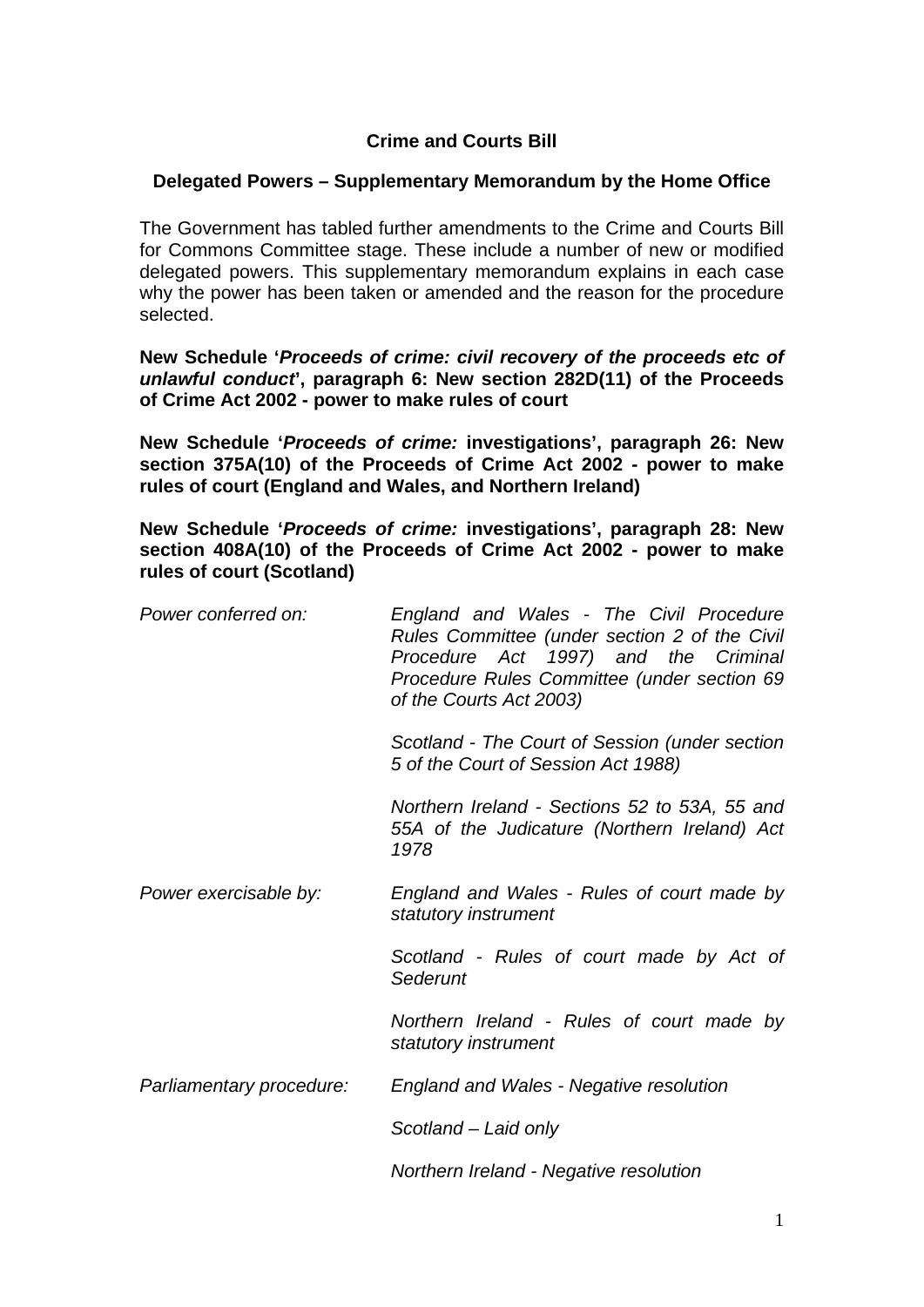## **Crime and Courts Bill**

## **Delegated Powers – Supplementary Memorandum by the Home Office**

The Government has tabled further amendments to the Crime and Courts Bill for Commons Committee stage. These include a number of new or modified delegated powers. This supplementary memorandum explains in each case why the power has been taken or amended and the reason for the procedure selected.

**New Schedule '***Proceeds of crime: civil recovery of the proceeds etc of unlawful conduct***', paragraph 6: New section 282D(11) of the Proceeds of Crime Act 2002 - power to make rules of court** 

**New Schedule '***Proceeds of crime:* **investigations', paragraph 26: New section 375A(10) of the Proceeds of Crime Act 2002 - power to make rules of court (England and Wales, and Northern Ireland)**

**New Schedule '***Proceeds of crime:* **investigations', paragraph 28: New section 408A(10) of the Proceeds of Crime Act 2002 - power to make rules of court (Scotland)**

| Power conferred on:      | England and Wales - The Civil Procedure<br>Rules Committee (under section 2 of the Civil<br>Procedure Act 1997) and the Criminal<br>Procedure Rules Committee (under section 69<br>of the Courts Act 2003) |
|--------------------------|------------------------------------------------------------------------------------------------------------------------------------------------------------------------------------------------------------|
|                          | Scotland - The Court of Session (under section<br>5 of the Court of Session Act 1988)                                                                                                                      |
|                          | Northern Ireland - Sections 52 to 53A, 55 and<br>55A of the Judicature (Northern Ireland) Act<br>1978                                                                                                      |
| Power exercisable by:    | England and Wales - Rules of court made by<br>statutory instrument                                                                                                                                         |
|                          | Scotland - Rules of court made by Act of<br>Sederunt                                                                                                                                                       |
|                          | Northern Ireland - Rules of court made by<br>statutory instrument                                                                                                                                          |
| Parliamentary procedure: | <b>England and Wales - Negative resolution</b>                                                                                                                                                             |
|                          | Scotland – Laid only                                                                                                                                                                                       |
|                          | Northern Ireland - Negative resolution                                                                                                                                                                     |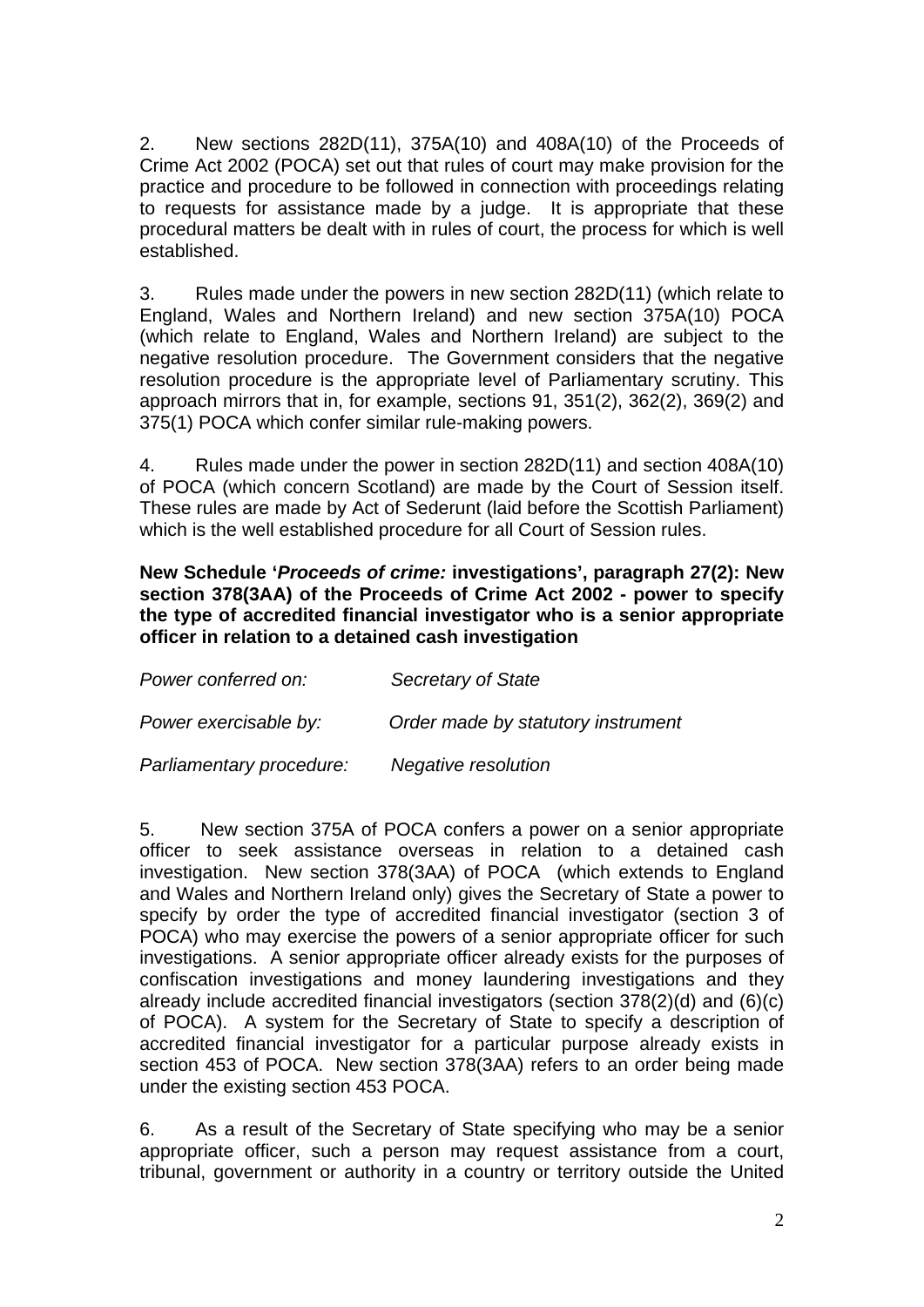2. New sections 282D(11), 375A(10) and 408A(10) of the Proceeds of Crime Act 2002 (POCA) set out that rules of court may make provision for the practice and procedure to be followed in connection with proceedings relating to requests for assistance made by a judge. It is appropriate that these procedural matters be dealt with in rules of court, the process for which is well established.

3. Rules made under the powers in new section 282D(11) (which relate to England, Wales and Northern Ireland) and new section 375A(10) POCA (which relate to England, Wales and Northern Ireland) are subject to the negative resolution procedure. The Government considers that the negative resolution procedure is the appropriate level of Parliamentary scrutiny. This approach mirrors that in, for example, sections 91, 351(2), 362(2), 369(2) and 375(1) POCA which confer similar rule-making powers.

4. Rules made under the power in section 282D(11) and section 408A(10) of POCA (which concern Scotland) are made by the Court of Session itself. These rules are made by Act of Sederunt (laid before the Scottish Parliament) which is the well established procedure for all Court of Session rules.

**New Schedule '***Proceeds of crime:* **investigations', paragraph 27(2): New section 378(3AA) of the Proceeds of Crime Act 2002 - power to specify the type of accredited financial investigator who is a senior appropriate officer in relation to a detained cash investigation**

| Power conferred on:      | Secretary of State                 |
|--------------------------|------------------------------------|
| Power exercisable by:    | Order made by statutory instrument |
| Parliamentary procedure: | Negative resolution                |

5. New section 375A of POCA confers a power on a senior appropriate officer to seek assistance overseas in relation to a detained cash investigation. New section 378(3AA) of POCA (which extends to England and Wales and Northern Ireland only) gives the Secretary of State a power to specify by order the type of accredited financial investigator (section 3 of POCA) who may exercise the powers of a senior appropriate officer for such investigations. A senior appropriate officer already exists for the purposes of confiscation investigations and money laundering investigations and they already include accredited financial investigators (section 378(2)(d) and (6)(c) of POCA). A system for the Secretary of State to specify a description of accredited financial investigator for a particular purpose already exists in section 453 of POCA. New section 378(3AA) refers to an order being made under the existing section 453 POCA.

6. As a result of the Secretary of State specifying who may be a senior appropriate officer, such a person may request assistance from a court, tribunal, government or authority in a country or territory outside the United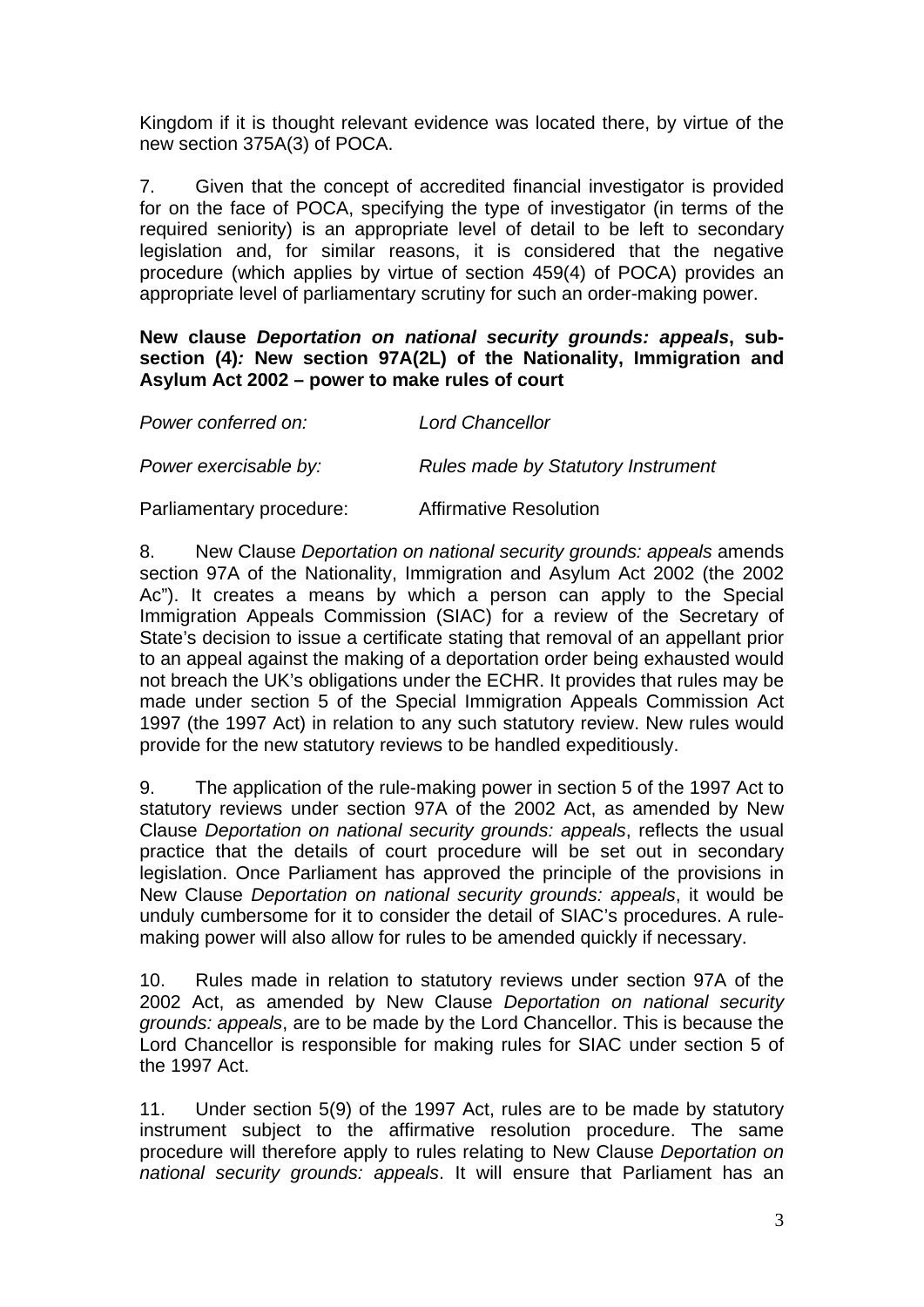Kingdom if it is thought relevant evidence was located there, by virtue of the new section 375A(3) of POCA.

7. Given that the concept of accredited financial investigator is provided for on the face of POCA, specifying the type of investigator (in terms of the required seniority) is an appropriate level of detail to be left to secondary legislation and, for similar reasons, it is considered that the negative procedure (which applies by virtue of section 459(4) of POCA) provides an appropriate level of parliamentary scrutiny for such an order-making power.

**New clause** *Deportation on national security grounds: appeals***, subsection (4)***:* **New section 97A(2L) of the Nationality, Immigration and Asylum Act 2002 – power to make rules of court**

| Power conferred on:      | <b>Lord Chancellor</b>                    |
|--------------------------|-------------------------------------------|
| Power exercisable by:    | <b>Rules made by Statutory Instrument</b> |
| Parliamentary procedure: | <b>Affirmative Resolution</b>             |

8. New Clause *Deportation on national security grounds: appeals* amends section 97A of the Nationality, Immigration and Asylum Act 2002 (the 2002 Ac"). It creates a means by which a person can apply to the Special Immigration Appeals Commission (SIAC) for a review of the Secretary of State's decision to issue a certificate stating that removal of an appellant prior to an appeal against the making of a deportation order being exhausted would not breach the UK's obligations under the ECHR. It provides that rules may be made under section 5 of the Special Immigration Appeals Commission Act 1997 (the 1997 Act) in relation to any such statutory review. New rules would provide for the new statutory reviews to be handled expeditiously.

9. The application of the rule-making power in section 5 of the 1997 Act to statutory reviews under section 97A of the 2002 Act, as amended by New Clause *Deportation on national security grounds: appeals*, reflects the usual practice that the details of court procedure will be set out in secondary legislation. Once Parliament has approved the principle of the provisions in New Clause *Deportation on national security grounds: appeals*, it would be unduly cumbersome for it to consider the detail of SIAC's procedures. A rulemaking power will also allow for rules to be amended quickly if necessary.

10. Rules made in relation to statutory reviews under section 97A of the 2002 Act, as amended by New Clause *Deportation on national security grounds: appeals*, are to be made by the Lord Chancellor. This is because the Lord Chancellor is responsible for making rules for SIAC under section 5 of the 1997 Act.

11. Under section 5(9) of the 1997 Act, rules are to be made by statutory instrument subject to the affirmative resolution procedure. The same procedure will therefore apply to rules relating to New Clause *Deportation on national security grounds: appeals*. It will ensure that Parliament has an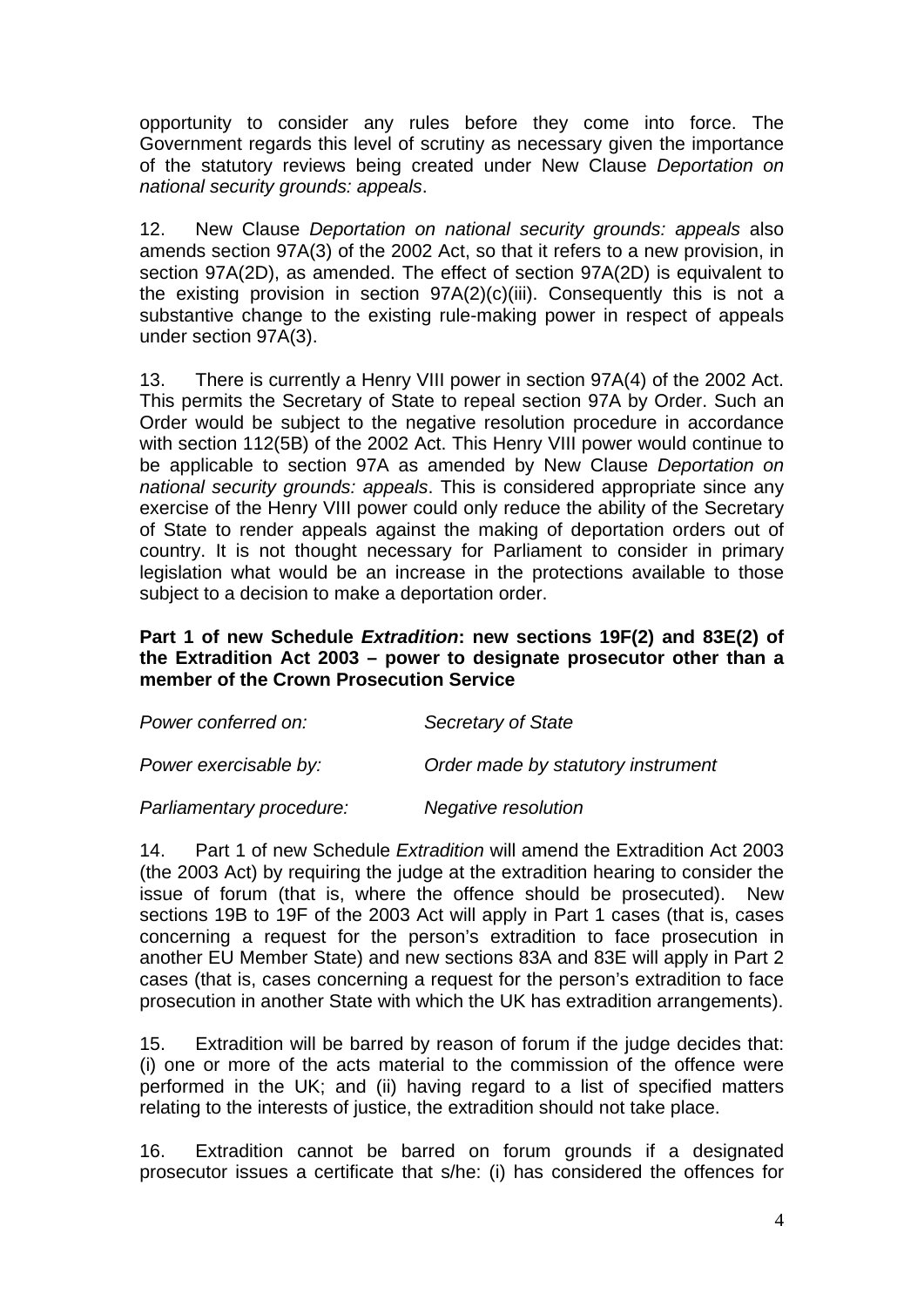opportunity to consider any rules before they come into force. The Government regards this level of scrutiny as necessary given the importance of the statutory reviews being created under New Clause *Deportation on national security grounds: appeals*.

12. New Clause *Deportation on national security grounds: appeals* also amends section 97A(3) of the 2002 Act, so that it refers to a new provision, in section 97A(2D), as amended. The effect of section 97A(2D) is equivalent to the existing provision in section  $97A(2)(c)(iii)$ . Consequently this is not a substantive change to the existing rule-making power in respect of appeals under section 97A(3).

13. There is currently a Henry VIII power in section 97A(4) of the 2002 Act. This permits the Secretary of State to repeal section 97A by Order. Such an Order would be subject to the negative resolution procedure in accordance with section 112(5B) of the 2002 Act. This Henry VIII power would continue to be applicable to section 97A as amended by New Clause *Deportation on national security grounds: appeals*. This is considered appropriate since any exercise of the Henry VIII power could only reduce the ability of the Secretary of State to render appeals against the making of deportation orders out of country. It is not thought necessary for Parliament to consider in primary legislation what would be an increase in the protections available to those subject to a decision to make a deportation order.

## **Part 1 of new Schedule** *Extradition***: new sections 19F(2) and 83E(2) of the Extradition Act 2003 – power to designate prosecutor other than a member of the Crown Prosecution Service**

| Power conferred on:      | Secretary of State                 |
|--------------------------|------------------------------------|
| Power exercisable by:    | Order made by statutory instrument |
| Parliamentary procedure: | Negative resolution                |

14. Part 1 of new Schedule *Extradition* will amend the Extradition Act 2003 (the 2003 Act) by requiring the judge at the extradition hearing to consider the issue of forum (that is, where the offence should be prosecuted). New sections 19B to 19F of the 2003 Act will apply in Part 1 cases (that is, cases concerning a request for the person's extradition to face prosecution in another EU Member State) and new sections 83A and 83E will apply in Part 2 cases (that is, cases concerning a request for the person's extradition to face prosecution in another State with which the UK has extradition arrangements).

15. Extradition will be barred by reason of forum if the judge decides that: (i) one or more of the acts material to the commission of the offence were performed in the UK; and (ii) having regard to a list of specified matters relating to the interests of justice, the extradition should not take place.

16. Extradition cannot be barred on forum grounds if a designated prosecutor issues a certificate that s/he: (i) has considered the offences for